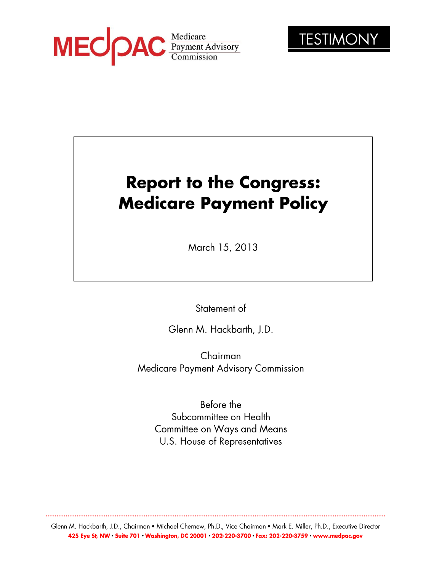



# **Report to the Congress: Medicare Payment Policy**

March 15, 2013

Statement of

Glenn M. Hackbarth, J.D.

Chairman Medicare Payment Advisory Commission

Before the Subcommittee on Health **Committee on Ways and Means** U.S. House of Representatives

Glenn M. Hackbarth, J.D., Chairman • Michael Chernew, Ph.D., Vice Chairman • Mark E. Miller, Ph.D., Executive Director 425 Eye St, NW · Suite 701 · Washington, DC 20001 · 202-220-3700 · Fax: 202-220-3759 · www.medpac.gov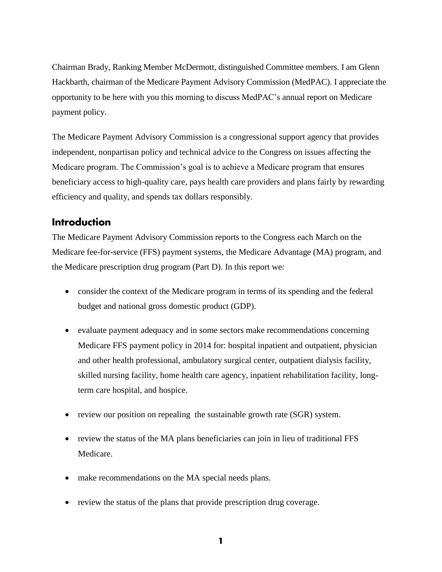Chairman Brady, Ranking Member McDermott, distinguished Committee members. I am Glenn Hackbarth, chairman of the Medicare Payment Advisory Commission (MedPAC). I appreciate the opportunity to be here with you this morning to discuss MedPAC's annual report on Medicare payment policy.

The Medicare Payment Advisory Commission is a congressional support agency that provides independent, nonpartisan policy and technical advice to the Congress on issues affecting the Medicare program. The Commission's goal is to achieve a Medicare program that ensures beneficiary access to high-quality care, pays health care providers and plans fairly by rewarding efficiency and quality, and spends tax dollars responsibly.

# **Introduction**

The Medicare Payment Advisory Commission reports to the Congress each March on the Medicare fee-for-service (FFS) payment systems, the Medicare Advantage (MA) program, and the Medicare prescription drug program (Part D). In this report we:

- consider the context of the Medicare program in terms of its spending and the federal budget and national gross domestic product (GDP).
- evaluate payment adequacy and in some sectors make recommendations concerning Medicare FFS payment policy in 2014 for: hospital inpatient and outpatient, physician and other health professional, ambulatory surgical center, outpatient dialysis facility, skilled nursing facility, home health care agency, inpatient rehabilitation facility, longterm care hospital, and hospice.
- review our position on repealing the sustainable growth rate (SGR) system.
- review the status of the MA plans beneficiaries can join in lieu of traditional FFS Medicare.
- make recommendations on the MA special needs plans.
- review the status of the plans that provide prescription drug coverage.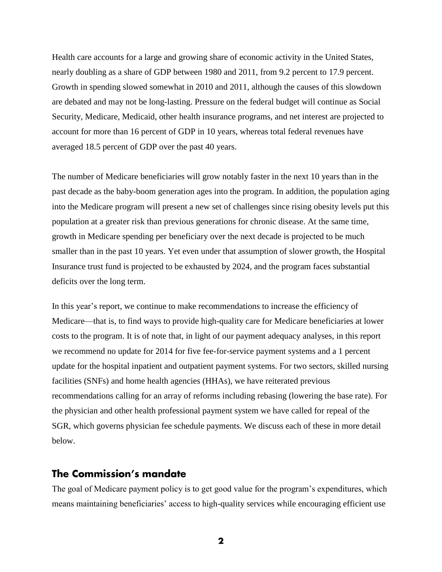Health care accounts for a large and growing share of economic activity in the United States, nearly doubling as a share of GDP between 1980 and 2011, from 9.2 percent to 17.9 percent. Growth in spending slowed somewhat in 2010 and 2011, although the causes of this slowdown are debated and may not be long-lasting. Pressure on the federal budget will continue as Social Security, Medicare, Medicaid, other health insurance programs, and net interest are projected to account for more than 16 percent of GDP in 10 years, whereas total federal revenues have averaged 18.5 percent of GDP over the past 40 years.

The number of Medicare beneficiaries will grow notably faster in the next 10 years than in the past decade as the baby-boom generation ages into the program. In addition, the population aging into the Medicare program will present a new set of challenges since rising obesity levels put this population at a greater risk than previous generations for chronic disease. At the same time, growth in Medicare spending per beneficiary over the next decade is projected to be much smaller than in the past 10 years. Yet even under that assumption of slower growth, the Hospital Insurance trust fund is projected to be exhausted by 2024, and the program faces substantial deficits over the long term.

In this year's report, we continue to make recommendations to increase the efficiency of Medicare—that is, to find ways to provide high-quality care for Medicare beneficiaries at lower costs to the program. It is of note that, in light of our payment adequacy analyses, in this report we recommend no update for 2014 for five fee-for-service payment systems and a 1 percent update for the hospital inpatient and outpatient payment systems. For two sectors, skilled nursing facilities (SNFs) and home health agencies (HHAs), we have reiterated previous recommendations calling for an array of reforms including rebasing (lowering the base rate). For the physician and other health professional payment system we have called for repeal of the SGR, which governs physician fee schedule payments. We discuss each of these in more detail below.

## The Commission's mandate

The goal of Medicare payment policy is to get good value for the program's expenditures, which means maintaining beneficiaries' access to high-quality services while encouraging efficient use

 $\mathbf 2$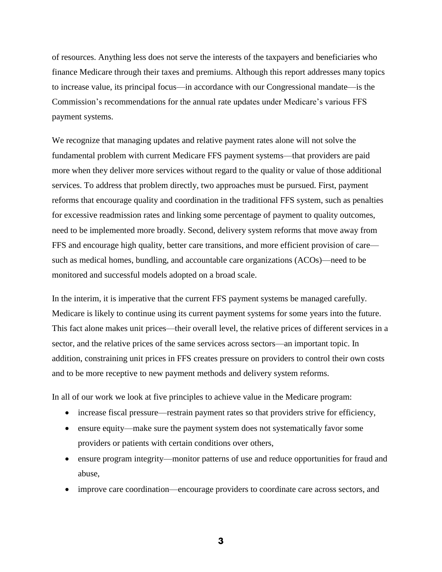of resources. Anything less does not serve the interests of the taxpayers and beneficiaries who finance Medicare through their taxes and premiums. Although this report addresses many topics to increase value, its principal focus—in accordance with our Congressional mandate—is the Commission's recommendations for the annual rate updates under Medicare's various FFS payment systems.

We recognize that managing updates and relative payment rates alone will not solve the fundamental problem with current Medicare FFS payment systems—that providers are paid more when they deliver more services without regard to the quality or value of those additional services. To address that problem directly, two approaches must be pursued. First, payment reforms that encourage quality and coordination in the traditional FFS system, such as penalties for excessive readmission rates and linking some percentage of payment to quality outcomes, need to be implemented more broadly. Second, delivery system reforms that move away from FFS and encourage high quality, better care transitions, and more efficient provision of care such as medical homes, bundling, and accountable care organizations (ACOs)—need to be monitored and successful models adopted on a broad scale.

In the interim, it is imperative that the current FFS payment systems be managed carefully. Medicare is likely to continue using its current payment systems for some years into the future. This fact alone makes unit prices—their overall level, the relative prices of different services in a sector, and the relative prices of the same services across sectors—an important topic. In addition, constraining unit prices in FFS creates pressure on providers to control their own costs and to be more receptive to new payment methods and delivery system reforms.

In all of our work we look at five principles to achieve value in the Medicare program:

- increase fiscal pressure—restrain payment rates so that providers strive for efficiency,
- ensure equity—make sure the payment system does not systematically favor some providers or patients with certain conditions over others,
- ensure program integrity—monitor patterns of use and reduce opportunities for fraud and abuse,
- improve care coordination—encourage providers to coordinate care across sectors, and

 $\overline{\mathbf{3}}$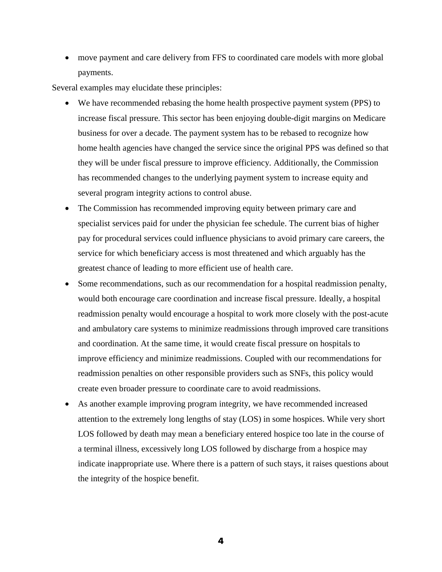move payment and care delivery from FFS to coordinated care models with more global payments.

Several examples may elucidate these principles:

- We have recommended rebasing the home health prospective payment system (PPS) to increase fiscal pressure. This sector has been enjoying double-digit margins on Medicare business for over a decade. The payment system has to be rebased to recognize how home health agencies have changed the service since the original PPS was defined so that they will be under fiscal pressure to improve efficiency. Additionally, the Commission has recommended changes to the underlying payment system to increase equity and several program integrity actions to control abuse.
- The Commission has recommended improving equity between primary care and specialist services paid for under the physician fee schedule. The current bias of higher pay for procedural services could influence physicians to avoid primary care careers, the service for which beneficiary access is most threatened and which arguably has the greatest chance of leading to more efficient use of health care.
- Some recommendations, such as our recommendation for a hospital readmission penalty, would both encourage care coordination and increase fiscal pressure. Ideally, a hospital readmission penalty would encourage a hospital to work more closely with the post-acute and ambulatory care systems to minimize readmissions through improved care transitions and coordination. At the same time, it would create fiscal pressure on hospitals to improve efficiency and minimize readmissions. Coupled with our recommendations for readmission penalties on other responsible providers such as SNFs, this policy would create even broader pressure to coordinate care to avoid readmissions.
- As another example improving program integrity, we have recommended increased attention to the extremely long lengths of stay (LOS) in some hospices. While very short LOS followed by death may mean a beneficiary entered hospice too late in the course of a terminal illness, excessively long LOS followed by discharge from a hospice may indicate inappropriate use. Where there is a pattern of such stays, it raises questions about the integrity of the hospice benefit.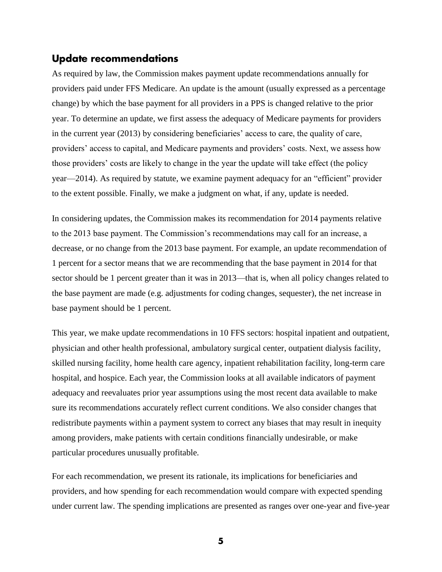## Update recommendations

As required by law, the Commission makes payment update recommendations annually for providers paid under FFS Medicare. An update is the amount (usually expressed as a percentage change) by which the base payment for all providers in a PPS is changed relative to the prior year. To determine an update, we first assess the adequacy of Medicare payments for providers in the current year (2013) by considering beneficiaries' access to care, the quality of care, providers' access to capital, and Medicare payments and providers' costs. Next, we assess how those providers' costs are likely to change in the year the update will take effect (the policy year—2014). As required by statute, we examine payment adequacy for an "efficient" provider to the extent possible. Finally, we make a judgment on what, if any, update is needed.

In considering updates, the Commission makes its recommendation for 2014 payments relative to the 2013 base payment. The Commission's recommendations may call for an increase, a decrease, or no change from the 2013 base payment. For example, an update recommendation of 1 percent for a sector means that we are recommending that the base payment in 2014 for that sector should be 1 percent greater than it was in 2013—that is, when all policy changes related to the base payment are made (e.g. adjustments for coding changes, sequester), the net increase in base payment should be 1 percent.

This year, we make update recommendations in 10 FFS sectors: hospital inpatient and outpatient, physician and other health professional, ambulatory surgical center, outpatient dialysis facility, skilled nursing facility, home health care agency, inpatient rehabilitation facility, long-term care hospital, and hospice. Each year, the Commission looks at all available indicators of payment adequacy and reevaluates prior year assumptions using the most recent data available to make sure its recommendations accurately reflect current conditions. We also consider changes that redistribute payments within a payment system to correct any biases that may result in inequity among providers, make patients with certain conditions financially undesirable, or make particular procedures unusually profitable.

For each recommendation, we present its rationale, its implications for beneficiaries and providers, and how spending for each recommendation would compare with expected spending under current law. The spending implications are presented as ranges over one-year and five-year

5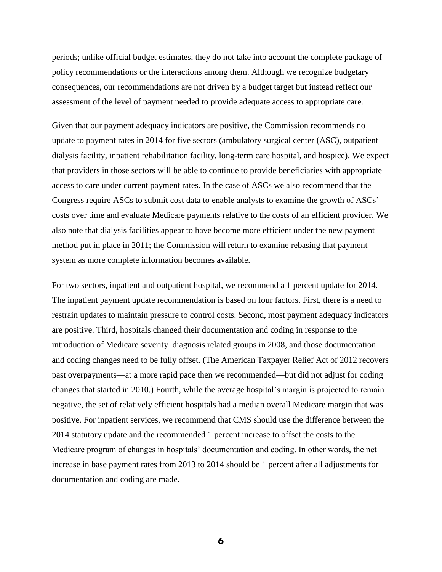periods; unlike official budget estimates, they do not take into account the complete package of policy recommendations or the interactions among them. Although we recognize budgetary consequences, our recommendations are not driven by a budget target but instead reflect our assessment of the level of payment needed to provide adequate access to appropriate care.

Given that our payment adequacy indicators are positive, the Commission recommends no update to payment rates in 2014 for five sectors (ambulatory surgical center (ASC), outpatient dialysis facility, inpatient rehabilitation facility, long-term care hospital, and hospice). We expect that providers in those sectors will be able to continue to provide beneficiaries with appropriate access to care under current payment rates. In the case of ASCs we also recommend that the Congress require ASCs to submit cost data to enable analysts to examine the growth of ASCs' costs over time and evaluate Medicare payments relative to the costs of an efficient provider. We also note that dialysis facilities appear to have become more efficient under the new payment method put in place in 2011; the Commission will return to examine rebasing that payment system as more complete information becomes available.

For two sectors, inpatient and outpatient hospital, we recommend a 1 percent update for 2014. The inpatient payment update recommendation is based on four factors. First, there is a need to restrain updates to maintain pressure to control costs. Second, most payment adequacy indicators are positive. Third, hospitals changed their documentation and coding in response to the introduction of Medicare severity–diagnosis related groups in 2008, and those documentation and coding changes need to be fully offset. (The American Taxpayer Relief Act of 2012 recovers past overpayments—at a more rapid pace then we recommended—but did not adjust for coding changes that started in 2010.) Fourth, while the average hospital's margin is projected to remain negative, the set of relatively efficient hospitals had a median overall Medicare margin that was positive. For inpatient services, we recommend that CMS should use the difference between the 2014 statutory update and the recommended 1 percent increase to offset the costs to the Medicare program of changes in hospitals' documentation and coding. In other words, the net increase in base payment rates from 2013 to 2014 should be 1 percent after all adjustments for documentation and coding are made.

6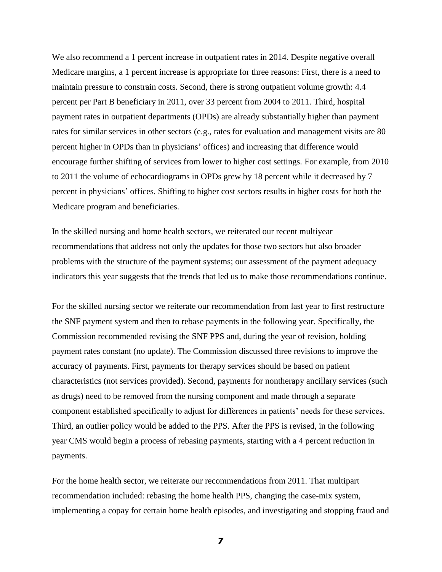We also recommend a 1 percent increase in outpatient rates in 2014. Despite negative overall Medicare margins, a 1 percent increase is appropriate for three reasons: First, there is a need to maintain pressure to constrain costs. Second, there is strong outpatient volume growth: 4.4 percent per Part B beneficiary in 2011, over 33 percent from 2004 to 2011. Third, hospital payment rates in outpatient departments (OPDs) are already substantially higher than payment rates for similar services in other sectors (e.g., rates for evaluation and management visits are 80 percent higher in OPDs than in physicians' offices) and increasing that difference would encourage further shifting of services from lower to higher cost settings. For example, from 2010 to 2011 the volume of echocardiograms in OPDs grew by 18 percent while it decreased by 7 percent in physicians' offices. Shifting to higher cost sectors results in higher costs for both the Medicare program and beneficiaries.

In the skilled nursing and home health sectors, we reiterated our recent multiyear recommendations that address not only the updates for those two sectors but also broader problems with the structure of the payment systems; our assessment of the payment adequacy indicators this year suggests that the trends that led us to make those recommendations continue.

For the skilled nursing sector we reiterate our recommendation from last year to first restructure the SNF payment system and then to rebase payments in the following year. Specifically, the Commission recommended revising the SNF PPS and, during the year of revision, holding payment rates constant (no update). The Commission discussed three revisions to improve the accuracy of payments. First, payments for therapy services should be based on patient characteristics (not services provided). Second, payments for nontherapy ancillary services (such as drugs) need to be removed from the nursing component and made through a separate component established specifically to adjust for differences in patients' needs for these services. Third, an outlier policy would be added to the PPS. After the PPS is revised, in the following year CMS would begin a process of rebasing payments, starting with a 4 percent reduction in payments.

For the home health sector, we reiterate our recommendations from 2011. That multipart recommendation included: rebasing the home health PPS, changing the case-mix system, implementing a copay for certain home health episodes, and investigating and stopping fraud and

 $\overline{z}$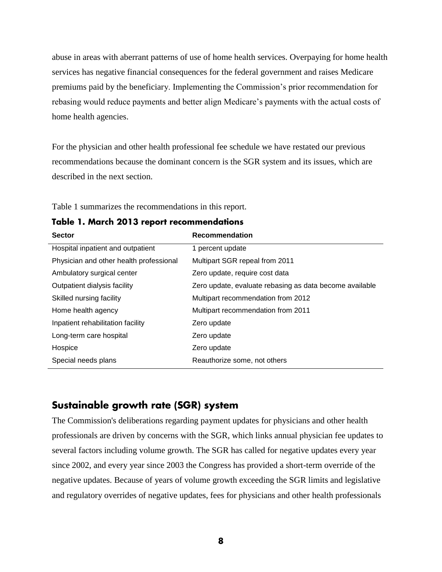abuse in areas with aberrant patterns of use of home health services. Overpaying for home health services has negative financial consequences for the federal government and raises Medicare premiums paid by the beneficiary. Implementing the Commission's prior recommendation for rebasing would reduce payments and better align Medicare's payments with the actual costs of home health agencies.

For the physician and other health professional fee schedule we have restated our previous recommendations because the dominant concern is the SGR system and its issues, which are described in the next section.

Table 1 summarizes the recommendations in this report.

Table 1. March 2013 report recommendations

| <b>Sector</b>                           | <b>Recommendation</b>                                   |
|-----------------------------------------|---------------------------------------------------------|
| Hospital inpatient and outpatient       | 1 percent update                                        |
| Physician and other health professional | Multipart SGR repeal from 2011                          |
| Ambulatory surgical center              | Zero update, require cost data                          |
| Outpatient dialysis facility            | Zero update, evaluate rebasing as data become available |
| Skilled nursing facility                | Multipart recommendation from 2012                      |
| Home health agency                      | Multipart recommendation from 2011                      |
| Inpatient rehabilitation facility       | Zero update                                             |
| Long-term care hospital                 | Zero update                                             |
| Hospice                                 | Zero update                                             |
| Special needs plans                     | Reauthorize some, not others                            |

# Sustainable growth rate (SGR) system

The Commission's deliberations regarding payment updates for physicians and other health professionals are driven by concerns with the SGR, which links annual physician fee updates to several factors including volume growth. The SGR has called for negative updates every year since 2002, and every year since 2003 the Congress has provided a short-term override of the negative updates. Because of years of volume growth exceeding the SGR limits and legislative and regulatory overrides of negative updates, fees for physicians and other health professionals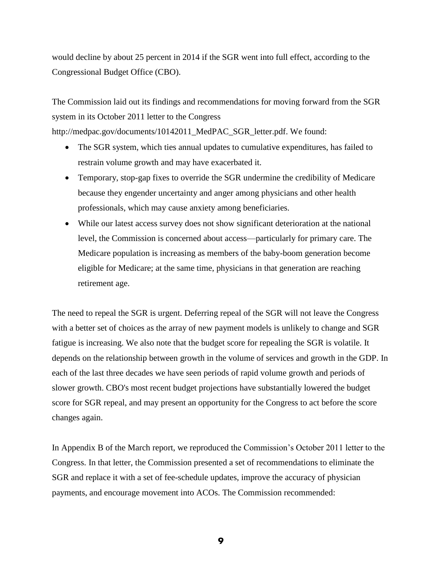would decline by about 25 percent in 2014 if the SGR went into full effect, according to the Congressional Budget Office (CBO).

The Commission laid out its findings and recommendations for moving forward from the SGR system in its October 2011 letter to the Congress

http://medpac.gov/documents/10142011\_MedPAC\_SGR\_letter.pdf. We found:

- The SGR system, which ties annual updates to cumulative expenditures, has failed to restrain volume growth and may have exacerbated it.
- Temporary, stop-gap fixes to override the SGR undermine the credibility of Medicare because they engender uncertainty and anger among physicians and other health professionals, which may cause anxiety among beneficiaries.
- While our latest access survey does not show significant deterioration at the national level, the Commission is concerned about access—particularly for primary care. The Medicare population is increasing as members of the baby-boom generation become eligible for Medicare; at the same time, physicians in that generation are reaching retirement age.

The need to repeal the SGR is urgent. Deferring repeal of the SGR will not leave the Congress with a better set of choices as the array of new payment models is unlikely to change and SGR fatigue is increasing. We also note that the budget score for repealing the SGR is volatile. It depends on the relationship between growth in the volume of services and growth in the GDP. In each of the last three decades we have seen periods of rapid volume growth and periods of slower growth. CBO's most recent budget projections have substantially lowered the budget score for SGR repeal, and may present an opportunity for the Congress to act before the score changes again.

In Appendix B of the March report, we reproduced the Commission's October 2011 letter to the Congress. In that letter, the Commission presented a set of recommendations to eliminate the SGR and replace it with a set of fee-schedule updates, improve the accuracy of physician payments, and encourage movement into ACOs. The Commission recommended:

9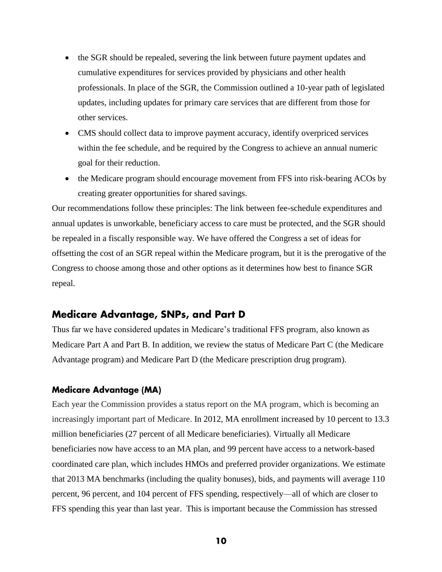- the SGR should be repealed, severing the link between future payment updates and cumulative expenditures for services provided by physicians and other health professionals. In place of the SGR, the Commission outlined a 10-year path of legislated updates, including updates for primary care services that are different from those for other services.
- CMS should collect data to improve payment accuracy, identify overpriced services within the fee schedule, and be required by the Congress to achieve an annual numeric goal for their reduction.
- the Medicare program should encourage movement from FFS into risk-bearing ACOs by creating greater opportunities for shared savings.

Our recommendations follow these principles: The link between fee-schedule expenditures and annual updates is unworkable, beneficiary access to care must be protected, and the SGR should be repealed in a fiscally responsible way. We have offered the Congress a set of ideas for offsetting the cost of an SGR repeal within the Medicare program, but it is the prerogative of the Congress to choose among those and other options as it determines how best to finance SGR repeal.

## **Medicare Advantage, SNPs, and Part D**

Thus far we have considered updates in Medicare's traditional FFS program, also known as Medicare Part A and Part B. In addition, we review the status of Medicare Part C (the Medicare Advantage program) and Medicare Part D (the Medicare prescription drug program).

#### **Medicare Advantage (MA)**

Each year the Commission provides a status report on the MA program, which is becoming an increasingly important part of Medicare. In 2012, MA enrollment increased by 10 percent to 13.3 million beneficiaries (27 percent of all Medicare beneficiaries). Virtually all Medicare beneficiaries now have access to an MA plan, and 99 percent have access to a network-based coordinated care plan, which includes HMOs and preferred provider organizations. We estimate that 2013 MA benchmarks (including the quality bonuses), bids, and payments will average 110 percent, 96 percent, and 104 percent of FFS spending, respectively—all of which are closer to FFS spending this year than last year. This is important because the Commission has stressed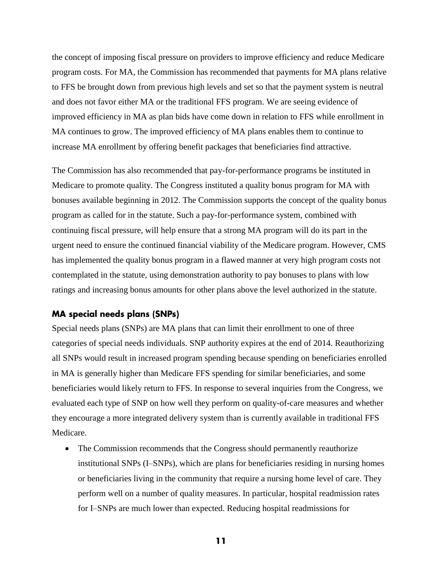the concept of imposing fiscal pressure on providers to improve efficiency and reduce Medicare program costs. For MA, the Commission has recommended that payments for MA plans relative to FFS be brought down from previous high levels and set so that the payment system is neutral and does not favor either MA or the traditional FFS program. We are seeing evidence of improved efficiency in MA as plan bids have come down in relation to FFS while enrollment in MA continues to grow. The improved efficiency of MA plans enables them to continue to increase MA enrollment by offering benefit packages that beneficiaries find attractive.

The Commission has also recommended that pay-for-performance programs be instituted in Medicare to promote quality. The Congress instituted a quality bonus program for MA with bonuses available beginning in 2012. The Commission supports the concept of the quality bonus program as called for in the statute. Such a pay-for-performance system, combined with continuing fiscal pressure, will help ensure that a strong MA program will do its part in the urgent need to ensure the continued financial viability of the Medicare program. However, CMS has implemented the quality bonus program in a flawed manner at very high program costs not contemplated in the statute, using demonstration authority to pay bonuses to plans with low ratings and increasing bonus amounts for other plans above the level authorized in the statute.

### **MA special needs plans (SNPs)**

Special needs plans (SNPs) are MA plans that can limit their enrollment to one of three categories of special needs individuals. SNP authority expires at the end of 2014. Reauthorizing all SNPs would result in increased program spending because spending on beneficiaries enrolled in MA is generally higher than Medicare FFS spending for similar beneficiaries, and some beneficiaries would likely return to FFS. In response to several inquiries from the Congress, we evaluated each type of SNP on how well they perform on quality-of-care measures and whether they encourage a more integrated delivery system than is currently available in traditional FFS Medicare.

 The Commission recommends that the Congress should permanently reauthorize institutional SNPs (I–SNPs), which are plans for beneficiaries residing in nursing homes or beneficiaries living in the community that require a nursing home level of care. They perform well on a number of quality measures. In particular, hospital readmission rates for I–SNPs are much lower than expected. Reducing hospital readmissions for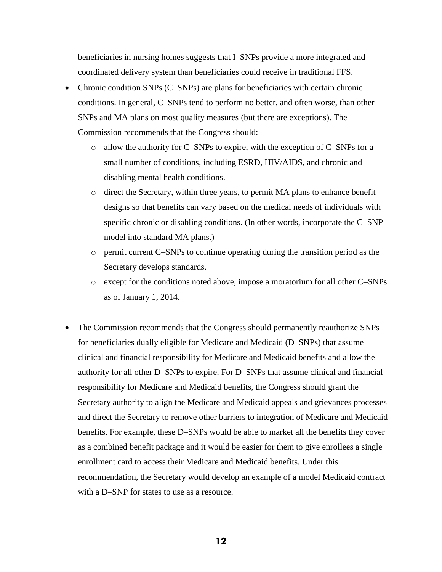beneficiaries in nursing homes suggests that I–SNPs provide a more integrated and coordinated delivery system than beneficiaries could receive in traditional FFS.

- Chronic condition SNPs (C–SNPs) are plans for beneficiaries with certain chronic conditions. In general, C–SNPs tend to perform no better, and often worse, than other SNPs and MA plans on most quality measures (but there are exceptions). The Commission recommends that the Congress should:
	- o allow the authority for C–SNPs to expire, with the exception of C–SNPs for a small number of conditions, including ESRD, HIV/AIDS, and chronic and disabling mental health conditions.
	- o direct the Secretary, within three years, to permit MA plans to enhance benefit designs so that benefits can vary based on the medical needs of individuals with specific chronic or disabling conditions. (In other words, incorporate the C–SNP model into standard MA plans.)
	- o permit current C–SNPs to continue operating during the transition period as the Secretary develops standards.
	- o except for the conditions noted above, impose a moratorium for all other C–SNPs as of January 1, 2014.
- The Commission recommends that the Congress should permanently reauthorize SNPs for beneficiaries dually eligible for Medicare and Medicaid (D–SNPs) that assume clinical and financial responsibility for Medicare and Medicaid benefits and allow the authority for all other D–SNPs to expire. For D–SNPs that assume clinical and financial responsibility for Medicare and Medicaid benefits, the Congress should grant the Secretary authority to align the Medicare and Medicaid appeals and grievances processes and direct the Secretary to remove other barriers to integration of Medicare and Medicaid benefits. For example, these D–SNPs would be able to market all the benefits they cover as a combined benefit package and it would be easier for them to give enrollees a single enrollment card to access their Medicare and Medicaid benefits. Under this recommendation, the Secretary would develop an example of a model Medicaid contract with a D–SNP for states to use as a resource.